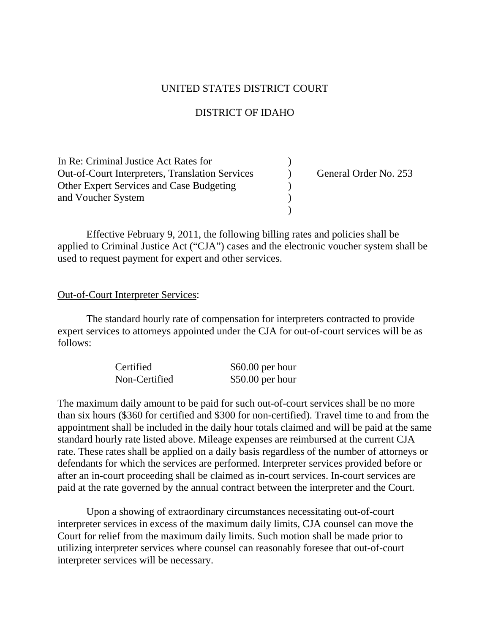## UNITED STATES DISTRICT COURT

# DISTRICT OF IDAHO

| In Re: Criminal Justice Act Rates for                  |                       |
|--------------------------------------------------------|-----------------------|
| <b>Out-of-Court Interpreters, Translation Services</b> | General Order No. 253 |
| Other Expert Services and Case Budgeting               |                       |
| and Voucher System                                     |                       |
|                                                        |                       |

Effective February 9, 2011, the following billing rates and policies shall be applied to Criminal Justice Act ("CJA") cases and the electronic voucher system shall be used to request payment for expert and other services.

#### Out-of-Court Interpreter Services:

The standard hourly rate of compensation for interpreters contracted to provide expert services to attorneys appointed under the CJA for out-of-court services will be as follows:

| Certified     | $$60.00$ per hour |
|---------------|-------------------|
| Non-Certified | $$50.00$ per hour |

The maximum daily amount to be paid for such out-of-court services shall be no more than six hours (\$360 for certified and \$300 for non-certified). Travel time to and from the appointment shall be included in the daily hour totals claimed and will be paid at the same standard hourly rate listed above. Mileage expenses are reimbursed at the current CJA rate. These rates shall be applied on a daily basis regardless of the number of attorneys or defendants for which the services are performed. Interpreter services provided before or after an in-court proceeding shall be claimed as in-court services. In-court services are paid at the rate governed by the annual contract between the interpreter and the Court.

Upon a showing of extraordinary circumstances necessitating out-of-court interpreter services in excess of the maximum daily limits, CJA counsel can move the Court for relief from the maximum daily limits. Such motion shall be made prior to utilizing interpreter services where counsel can reasonably foresee that out-of-court interpreter services will be necessary.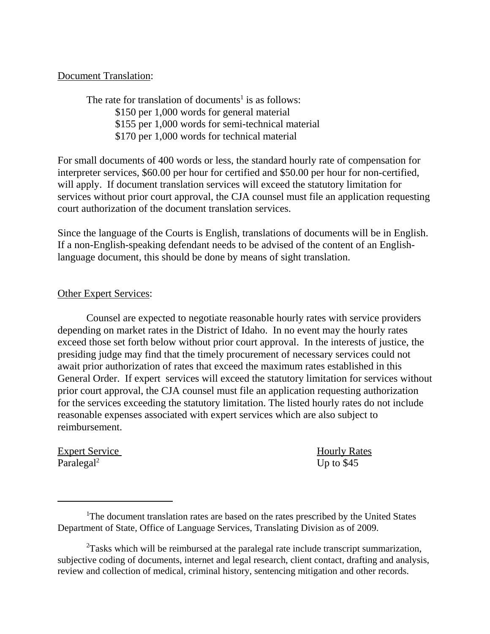## Document Translation:

The rate for translation of documents<sup>1</sup> is as follows: \$150 per 1,000 words for general material \$155 per 1,000 words for semi-technical material \$170 per 1,000 words for technical material

For small documents of 400 words or less, the standard hourly rate of compensation for interpreter services, \$60.00 per hour for certified and \$50.00 per hour for non-certified, will apply. If document translation services will exceed the statutory limitation for services without prior court approval, the CJA counsel must file an application requesting court authorization of the document translation services.

Since the language of the Courts is English, translations of documents will be in English. If a non-English-speaking defendant needs to be advised of the content of an Englishlanguage document, this should be done by means of sight translation.

## Other Expert Services:

Counsel are expected to negotiate reasonable hourly rates with service providers depending on market rates in the District of Idaho. In no event may the hourly rates exceed those set forth below without prior court approval. In the interests of justice, the presiding judge may find that the timely procurement of necessary services could not await prior authorization of rates that exceed the maximum rates established in this General Order. If expert services will exceed the statutory limitation for services without prior court approval, the CJA counsel must file an application requesting authorization for the services exceeding the statutory limitation. The listed hourly rates do not include reasonable expenses associated with expert services which are also subject to reimbursement.

Expert Service Hourly Rates  $\text{Paralegal}^2$  Up to \$45

<sup>&</sup>lt;sup>1</sup>The document translation rates are based on the rates prescribed by the United States Department of State, Office of Language Services, Translating Division as of 2009.

 $2$ Tasks which will be reimbursed at the paralegal rate include transcript summarization, subjective coding of documents, internet and legal research, client contact, drafting and analysis, review and collection of medical, criminal history, sentencing mitigation and other records.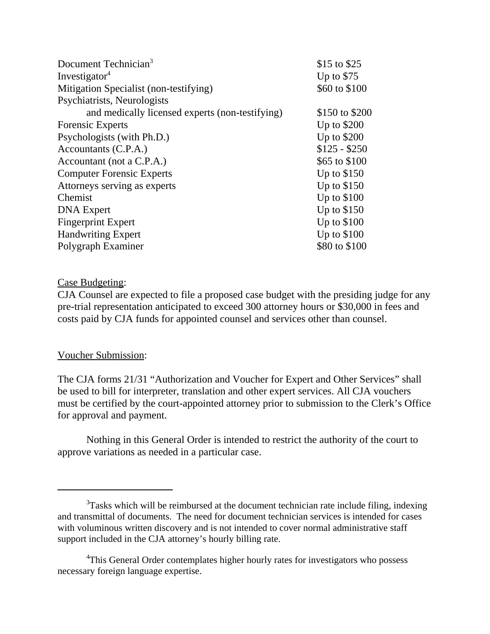| Document Technician <sup>3</sup>                | \$15 to \$25   |
|-------------------------------------------------|----------------|
| Investigator <sup>4</sup>                       | Up to $$75$    |
| Mitigation Specialist (non-testifying)          | \$60 to \$100  |
| Psychiatrists, Neurologists                     |                |
| and medically licensed experts (non-testifying) | \$150 to \$200 |
| <b>Forensic Experts</b>                         | Up to $$200$   |
| Psychologists (with Ph.D.)                      | Up to \$200    |
| Accountants (C.P.A.)                            | $$125 - $250$  |
| Accountant (not a C.P.A.)                       | \$65 to \$100  |
| <b>Computer Forensic Experts</b>                | Up to $$150$   |
| Attorneys serving as experts                    | Up to $$150$   |
| Chemist                                         | Up to $$100$   |
| <b>DNA</b> Expert                               | Up to $$150$   |
| <b>Fingerprint Expert</b>                       | Up to $$100$   |
| <b>Handwriting Expert</b>                       | Up to $$100$   |
| Polygraph Examiner                              | \$80 to \$100  |

## Case Budgeting:

CJA Counsel are expected to file a proposed case budget with the presiding judge for any pre-trial representation anticipated to exceed 300 attorney hours or \$30,000 in fees and costs paid by CJA funds for appointed counsel and services other than counsel.

## Voucher Submission:

The CJA forms 21/31 "Authorization and Voucher for Expert and Other Services" shall be used to bill for interpreter, translation and other expert services. All CJA vouchers must be certified by the court-appointed attorney prior to submission to the Clerk's Office for approval and payment.

Nothing in this General Order is intended to restrict the authority of the court to approve variations as needed in a particular case.

 $3$ Tasks which will be reimbursed at the document technician rate include filing, indexing and transmittal of documents. The need for document technician services is intended for cases with voluminous written discovery and is not intended to cover normal administrative staff support included in the CJA attorney's hourly billing rate.

<sup>&</sup>lt;sup>4</sup>This General Order contemplates higher hourly rates for investigators who possess necessary foreign language expertise.